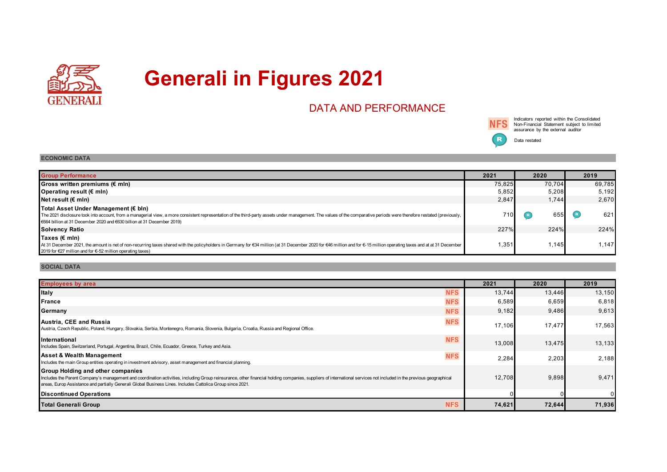

# **Generali in Figures 2021**

# DATA AND PERFORMANCE



Indicators reported within the Consolidated Non-Financial Statement subject to limited assurance by the external auditor

Data restated

## **ECONOMIC DATA**

| <b>Group Performance</b>                                                                                                                                                                                                                                                                                                                 | 2021   | 2020   | 2019   |  |
|------------------------------------------------------------------------------------------------------------------------------------------------------------------------------------------------------------------------------------------------------------------------------------------------------------------------------------------|--------|--------|--------|--|
| Gross written premiums ( $\notin$ mln)                                                                                                                                                                                                                                                                                                   | 75.825 | 70.704 | 69,785 |  |
| Operating result (€ mln)                                                                                                                                                                                                                                                                                                                 | 5,852  | 5,208  | 5,192  |  |
| Net result (€ mln)                                                                                                                                                                                                                                                                                                                       | 2,847  | 1,744  | 2,670  |  |
| Total Asset Under Management (€ bln)<br>The 2021 disclosure took into account, from a managerial view, a more consistent representation of the third-party assets under management. The values of the comparative periods were therefore restated (previously,<br>€664 billion at 31 December 2020 and €630 billion at 31 December 2019) | 710    | 655    | 621    |  |
| <b>Solvency Ratio</b>                                                                                                                                                                                                                                                                                                                    | 227%   | 224%   | 224%   |  |
| Taxes (€ mln)<br>At 31 December 2021, the amount is net of non-recurring taxes shared with the policyholders in Germany for €34 million (at 31 December 2020 for €46 million and for €-15 million operating taxes and at at 31 December<br>2019 for €27 million and for €-52 million operating taxes)                                    | 1,351  | 1,145  | 1,147  |  |

### **SOCIAL DATA**

| <b>Employees by area</b>                                                                                                                                                                                                                                                                                                                                                      | 2021   | 2020   | 2019   |
|-------------------------------------------------------------------------------------------------------------------------------------------------------------------------------------------------------------------------------------------------------------------------------------------------------------------------------------------------------------------------------|--------|--------|--------|
| <b>Italy</b><br><b>NFS</b>                                                                                                                                                                                                                                                                                                                                                    | 13,744 | 13,446 | 13,150 |
| <b>NFS</b><br>France                                                                                                                                                                                                                                                                                                                                                          | 6,589  | 6,659  | 6,818  |
| <b>NFS</b><br>Germany                                                                                                                                                                                                                                                                                                                                                         | 9,182  | 9,486  | 9,613  |
| <b>NFS</b><br>Austria, CEE and Russia<br>Austria, Czech Republic, Poland, Hungary, Slovakia, Serbia, Montenegro, Romania, Slovenia, Bulgaria, Croatia, Russia and Regional Office.                                                                                                                                                                                            | 17,106 | 17,477 | 17,563 |
| <b>NFS</b><br><b>International</b><br>Includes Spain, Switzerland, Portugal, Argentina, Brazil, Chile, Ecuador, Greece, Turkey and Asia.                                                                                                                                                                                                                                      | 13,008 | 13,475 | 13,133 |
| <b>Asset &amp; Wealth Management</b><br><b>NFS</b><br>Includes the main Group entities operating in investment advisory, asset management and financial planning.                                                                                                                                                                                                             | 2,284  | 2,203  | 2,188  |
| <b>Group Holding and other companies</b><br>Includes the Parent Company's management and coordination activities, including Group reinsurance, other financial holding companies, suppliers of international services not included in the previous geographical<br>areas, Europ Assistance and partially Generali Global Business Lines. Includes Cattolica Group since 2021. | 12,708 | 9,898  | 9,471  |
| <b>Discontinued Operations</b>                                                                                                                                                                                                                                                                                                                                                |        |        |        |
| <b>NFS</b><br>Total Generali Group                                                                                                                                                                                                                                                                                                                                            | 74,621 | 72,644 | 71,936 |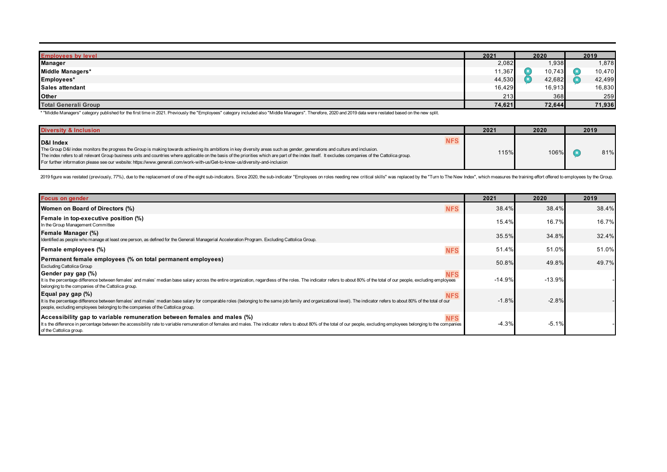| <b>Employees by level</b>   | 2021   | 2020   | 2019   |  |
|-----------------------------|--------|--------|--------|--|
| <b>Manager</b>              | 2,082  | 1,938  | 878,   |  |
| Middle Managers*            | 11,367 | 10,743 | 10,470 |  |
| Employees*                  | 44,530 | 42,682 | 42,499 |  |
| Sales attendant             | 16,429 | 16,913 | 16,830 |  |
| <b>Other</b>                | 213    | 368    | 259    |  |
| <b>Total Generali Group</b> | 74,621 | 72,644 | 71,936 |  |

\* "Middle Managers" category published for the first time in 2021. Previously the "Employees" category included also "Middle Managers". Therefore, 2020 and 2019 data were restated based on the new split.

| <b>Diversity &amp; Inclusion</b>                                                                                                                                                                                                                                                                                                                                                                                                                                                                                                                | 2021 | 2020 |     |
|-------------------------------------------------------------------------------------------------------------------------------------------------------------------------------------------------------------------------------------------------------------------------------------------------------------------------------------------------------------------------------------------------------------------------------------------------------------------------------------------------------------------------------------------------|------|------|-----|
| <b>NFS</b><br>D&I Index<br>The Group D&I index monitors the progress the Group is making towards achieving its ambitions in key diversity areas such as gender, generations and culture and inclusion.<br>The index refers to all relevant Group business units and countries where applicable on the basis of the priorities which are part of the index itself. It excludes companies of the Cattolica group.<br>For further information please see our website: https://www.generali.com/work-with-us/Get-to-know-us/diversity-and-inclusion | 115% | 106% | 81% |

2019 figure was restated (previously, 77%), due to the replacement of one of the eight sub-indicators. Since 2020, the sub-indicator "Employees on roles needing new critical skills" was replaced by the "Turn to The New Ind

| <b>Focus on gender</b>                                                                                                                                                                                                                                                                                                                               | 2021     | 2020     | 2019  |
|------------------------------------------------------------------------------------------------------------------------------------------------------------------------------------------------------------------------------------------------------------------------------------------------------------------------------------------------------|----------|----------|-------|
| <b>NFS</b><br>Women on Board of Directors (%)                                                                                                                                                                                                                                                                                                        | 38.4%    | 38.4%    | 38.4% |
| Female in top-executive position (%)<br>In the Group Management Committee                                                                                                                                                                                                                                                                            | 15.4%    | 16.7%    | 16.7% |
| Female Manager (%)<br>Identified as people who manage at least one person, as defined for the Generali Managerial Acceleration Program. Excluding Cattolica Group.                                                                                                                                                                                   | 35.5%    | 34.8%    | 32.4% |
| <b>NFS</b><br>Female employees (%)                                                                                                                                                                                                                                                                                                                   | 51.4%    | 51.0%    | 51.0% |
| Permanent female employees (% on total permanent employees)<br><b>Excluding Cattolica Group</b>                                                                                                                                                                                                                                                      | 50.8%    | 49.8%    | 49.7% |
| Gender pay gap (%)<br><b>NFS</b><br>It is the percentage difference between females' and males' median base salary across the entire organization, regardless of the roles. The indicator refers to about 80% of the total of our people, excluding employees<br>belonging to the companies of the Cattolica group.                                  | $-14.9%$ | $-13.9%$ |       |
| Equal pay gap $(\%)$<br><b>NFS</b><br>It is the percentage difference between females' and males' median base salary for comparable roles (belonging to the same job family and organizational level). The indicator refers to about 80% of the total of our<br>people, excluding employees belonging to the companies of the Cattolica group.       | $-1.8%$  | $-2.8%$  |       |
| Accessibility gap to variable remuneration between females and males $(\%)$<br><b>NFS</b><br>It s the difference in percentage between the accessibility rate to variable remuneration of females and males. The indicator refers to about 80% of the total of our people, excluding employees belonging to the companies<br>of the Cattolica group. | $-4.3%$  | $-5.1%$  |       |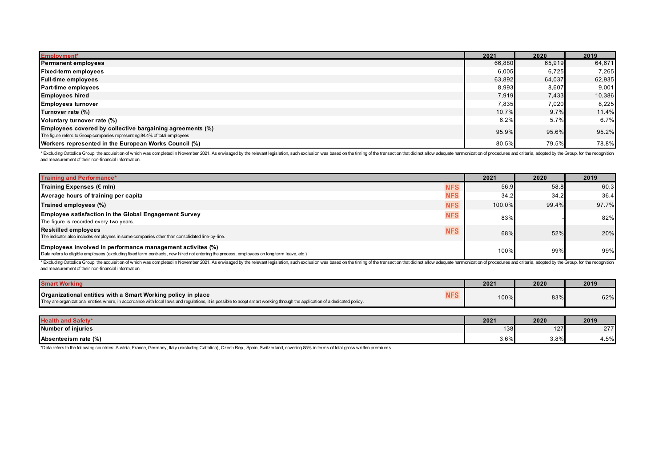| <b>Employment*</b>                                                                                                                      | 2021   | 2020   | 2019   |
|-----------------------------------------------------------------------------------------------------------------------------------------|--------|--------|--------|
| <b>Permanent employees</b>                                                                                                              | 66,880 | 65,919 | 64,671 |
| <b>Fixed-term employees</b>                                                                                                             | 6,005  | 6,725  | 7,265  |
| <b>Full-time employees</b>                                                                                                              | 63,892 | 64,037 | 62,935 |
| <b>Part-time employees</b>                                                                                                              | 8,993  | 8,607  | 9,001  |
| <b>Employees hired</b>                                                                                                                  | 7,919  | 7,433  | 10,386 |
| <b>Employees turnover</b>                                                                                                               | 7,835  | 7,020  | 8,225  |
| Turnover rate (%)                                                                                                                       | 10.7%  | 9.7%   | 11.4%  |
| Voluntary turnover rate (%)                                                                                                             | 6.2%   | 5.7%   | 6.7%   |
| Employees covered by collective bargaining agreements (%)<br>The figure refers to Group companies representing 84.4% of total employees | 95.9%  | 95.6%  | 95.2%  |
| Workers represented in the European Works Council (%)                                                                                   | 80.5%  | 79.5%  | 78.8%  |

\* Excluding Cattolica Group, the acquisition of which was completed in November 2021. As envisaged by the relevant legislation, such exclusion was based on the timing of the transaction that did not allow adequate harmoniz and measurement of their non-financial information.

| <b>Training and Performance*</b>                                                                                                                                                                         |            | 2021   | 2020  | 2019  |
|----------------------------------------------------------------------------------------------------------------------------------------------------------------------------------------------------------|------------|--------|-------|-------|
| Training Expenses $(\epsilon \text{ min})$                                                                                                                                                               | <b>NFS</b> | 56.9   | 58.8  | 60.3  |
| Average hours of training per capita                                                                                                                                                                     | <b>NFS</b> | 34.2   | 34.2  | 36.4  |
| Trained employees (%)                                                                                                                                                                                    | <b>NFS</b> | 100.0% | 99.4% | 97.7% |
| <b>Employee satisfaction in the Global Engagement Survey</b><br>The figure is recorded every two years.                                                                                                  | <b>NFS</b> | 83%    |       | 82%   |
| <b>Reskilled employees</b><br>The indicator also includes employees in some companies other than consolidated line-by-line.                                                                              | <b>NFS</b> | 68%    | 52%   | 20%   |
| Employees involved in performance management activites (%)<br>Data refers to eligible employees (excluding fixed term contracts, new hired not entering the process, employees on long term leave, etc.) |            | 100%   | 99%   | 99%   |

\* Excluding Cattolica Group, the acquisition of which was completed in November 2021. As envisaged by the relevant legislation, such exclusion was based on the timing of the transaction that did not allow adequate harmoniz and measurement of their non-financial information.

| <b>Smart Work</b>                                                                                                                                                                                                                           |      | 2020 | 2019 |
|---------------------------------------------------------------------------------------------------------------------------------------------------------------------------------------------------------------------------------------------|------|------|------|
| Organizational entities with a Smart Working policy in place<br>They are organizational entities where, in accordance with local laws and regulations, it is possible to adopt smart working through the application of a dedicated policy. | 100% | 83%  | 62%  |

| <b>Health and</b><br>.<br>ранн | 2021 | 2020       | 2019            |
|--------------------------------|------|------------|-----------------|
| Number of injuries             | 138  | 107<br>$-$ | 277<br>$\sim$ 1 |
| Absenteeism rate (%)           | 3.6% | 3.8%       | 450/<br>$+.070$ |

\*Data refers to the following countries: Austria, France, Germany, Italy (excluding Cattolica), Czech Rep., Spain, Switzerland, covering 85% in terms of total gross written premiums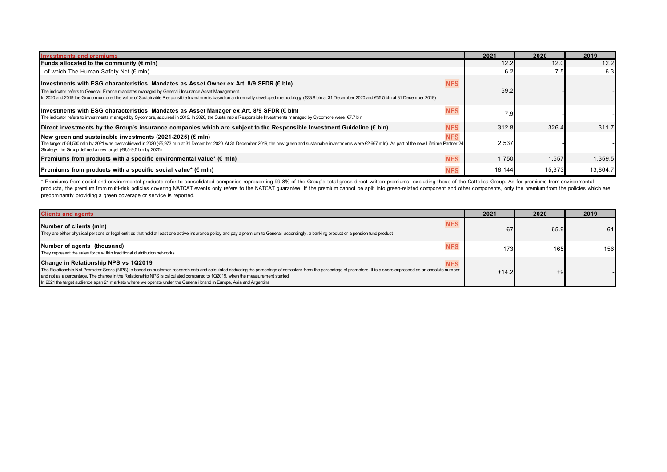| <b>Investments and premiums</b>                                                                                                                                                                                                                                                                                                                                                                                                            | 2021   | 2020   | 2019     |
|--------------------------------------------------------------------------------------------------------------------------------------------------------------------------------------------------------------------------------------------------------------------------------------------------------------------------------------------------------------------------------------------------------------------------------------------|--------|--------|----------|
| Funds allocated to the community $(E \text{ min})$                                                                                                                                                                                                                                                                                                                                                                                         | 12.2   | 12.0   | 12.2     |
| of which The Human Safety Net (€ mln)                                                                                                                                                                                                                                                                                                                                                                                                      | 6.2    | 7.5    | 6.3      |
| <b>NFS</b><br>Hnvestments with ESG characteristics: Mandates as Asset Owner ex Art. 8/9 SFDR (€ bln)<br>The indicator refers to Generali France mandates managed by Generali Insurance Asset Management.<br>In 2020 and 2019 the Group monitored the value of Sustainable Responsible Investments based on an internally developed methodology (€33.8 bln at 31 December 2020 and €35.5 bln at 31 December 2020 and £35.5 bln at 31 Decemb | 69.2   |        |          |
| <b>NFS</b><br>Hnvestments with ESG characteristics: Mandates as Asset Manager ex Art. 8/9 SFDR (€ bln)<br>The indicator refers to investments managed by Sycomore, acquired in 2019. In 2020, the Sustainable Responsible Investments managed by Sycomore were €7.7 bln                                                                                                                                                                    | 7.9    |        |          |
| <b>NFS</b><br>Direct investments by the Group's insurance companies which are subject to the Responsible Investment Guideline $(\epsilon \text{ bln})$                                                                                                                                                                                                                                                                                     | 312.8  | 326.4  | 311.7    |
| <b>NFS</b><br>New green and sustainable investments (2021-2025) ( $\varepsilon$ mln)<br>The target of €4,500 mln by 2021 was overachieved in 2020 (€5,973 mln at 31 December 2020. At 31 December 2019, the new green and sustainable investments were €2,667 mln). As part of the new Lifetime Partner 24<br>Strategy, the Group defined a new target (€8,5-9,5 bln by 2025)                                                              | 2,537  |        |          |
| <b>NFS</b><br>Premiums from products with a specific environmental value* ( $\epsilon$ mln)                                                                                                                                                                                                                                                                                                                                                | 1.750  | 1,557  | 1,359.5  |
| Premiums from products with a specific social value* ( $\epsilon$ mln)<br><b>NFS</b>                                                                                                                                                                                                                                                                                                                                                       | 18,144 | 15,373 | 13,864.7 |

\* Premiums from social and environmental products refer to consolidated companies representing 99.8% of the Group's total gross direct written premiums, excluding those of the Cattolica Group. As for premiums from environm products, the premium from multi-risk policies covering NATCAT events only refers to the NATCAT guarantee. If the premium cannot be split into green-related component and other components, only the premium from the policie predominantly providing a green coverage or service is reported.

| <b>Clients and agents</b>                                                                                                                                                                                                                                                                                                                                                                                                                                                                                                      | 2021    | 2020 | 2019 |
|--------------------------------------------------------------------------------------------------------------------------------------------------------------------------------------------------------------------------------------------------------------------------------------------------------------------------------------------------------------------------------------------------------------------------------------------------------------------------------------------------------------------------------|---------|------|------|
| <b>NFS</b><br>Number of clients (mln)<br>They are either physical persons or legal entities that hold at least one active insurance policy and pay a premium to Generali accordingly, a banking product or a pension fund product                                                                                                                                                                                                                                                                                              | 67      | 65.9 | 61   |
| Number of agents (thousand)<br><b>NFS</b><br>They represent the sales force within traditional distribution networks                                                                                                                                                                                                                                                                                                                                                                                                           | 173.    | 165  | 156  |
| Change in Relationship NPS vs 1Q2019<br><b>NFS</b><br>The Relationship Net Promoter Score (NPS) is based on customer research data and calculated deducting the percentage of detractors from the percentage of promoters. It is a score expressed as an absolute number<br>and not as a percentage. The change in the Relationship NPS is calculated compared to 1Q2019, when the measurement started.<br>In 2021 the target audience span 21 markets where we operate under the Generali brand in Europe, Asia and Argentina | $+14.2$ | $+9$ |      |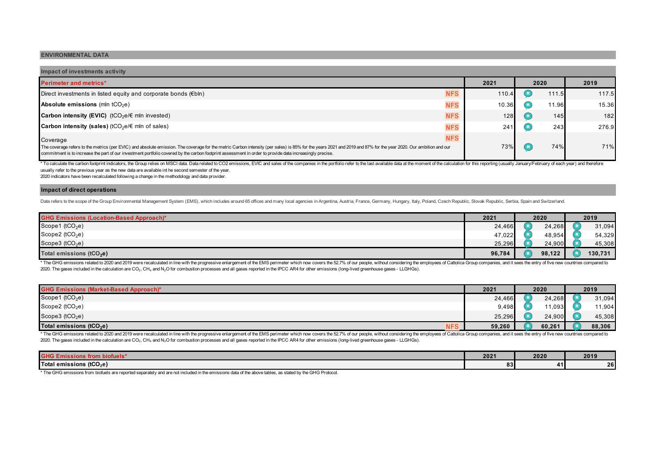#### **ENVIRONMENTAL DATA**

| Impact of investments activity                                                                                                                                                                                                                                                                                                                                               |            |       |       |       |
|------------------------------------------------------------------------------------------------------------------------------------------------------------------------------------------------------------------------------------------------------------------------------------------------------------------------------------------------------------------------------|------------|-------|-------|-------|
| <b>Perimeter and metrics*</b>                                                                                                                                                                                                                                                                                                                                                | 2021       |       | 2020  | 2019  |
| Direct investments in listed equity and corporate bonds $(\epsilon b \ln)$                                                                                                                                                                                                                                                                                                   | <b>NFS</b> | 110.4 | 111.5 | 117.5 |
| <b>Absolute emissions</b> (mln $tCO2e$ )                                                                                                                                                                                                                                                                                                                                     | <b>NFS</b> | 10.36 | 11.96 | 15.36 |
| <b>Carbon intensity (EVIC)</b> (tCO <sub>2</sub> e/ $\epsilon$ mln invested)                                                                                                                                                                                                                                                                                                 | <b>NFS</b> | 128   | 145   | 182   |
| <b>Carbon intensity (sales)</b> (tCO <sub>2</sub> e/ $\in$ mln of sales)                                                                                                                                                                                                                                                                                                     | <b>NFS</b> | 241   | 243   | 276.9 |
| Coverage                                                                                                                                                                                                                                                                                                                                                                     | <b>NFS</b> |       |       |       |
| The coverage refers to the metrics (per EVIC) and absolute emission. The coverage for the metric Carbon intensity (per sales) is 85% for the years 2021 and 2019 and 87% for the year 2020. Our ambition and our<br>commitment is to increase the part of our investment portfolio covered by the carbon footprint assessment in order to provide data increasingly precise. |            | 73%   | 74%   | 71%   |

\* To calculate the carbon footprint indicators, the Group relies on MSCI data. Data related to CO2 emissions, EVIC and sales of the companies in the portfolio refer to the last available data at the moment of the calculati usually refer to the previous year as the new data are available int he second semester of the year.

2020 indicators have been recalculated following a change in the methodology and data provider.

#### **Impact of direct operations**

Data refers to the scope of the Group Environmental Management System (EMS), which includes around 65 offices and many local agencies in Argentina, Austria, France, Germany, Hungary, Italy, Poland, Czech Republic, Slovak R

| <b>GHG Emissions (Location-Based Approach)*</b> | 2021   | 2020 |        | 2019 |         |  |
|-------------------------------------------------|--------|------|--------|------|---------|--|
| Scope1 ( $tCO2e$ )                              | 24,466 |      | 24,268 |      | 31,094  |  |
| Scope2 (tCO <sub>2</sub> e)                     | 47,022 |      | 48,954 |      | 54,329  |  |
| Scope3 ( $tCO2e$ )                              | 25,296 |      | 24,900 |      | 45,308  |  |
| Total emissions (tCO <sub>2</sub> e)            | 96,784 |      | 98,122 |      | 130,731 |  |

\* The GHG emissions related to 2020 and 2019 were recalculated in line with the progressive enlargement of the EMS perimeter which now covers the 52.7% of our people, without considering the employees of Cattolica Group co 2020. The gases included in the calculation are CO<sub>2</sub>, CH<sub>4</sub> and N<sub>2</sub>O for combustion processes and all gases reported in the IPCC AR4 for other emissions (long-lived greenhouse gases - LLGHGs).

| <b>GHG Emissions (Market-Based Approach)*</b>      | 2021   | 2020 |        | 2019 |        |  |
|----------------------------------------------------|--------|------|--------|------|--------|--|
| Scope1 ( $tCO2e$ )                                 | 24,466 |      | 24,268 |      | 31,094 |  |
| Scope2 ( $tCO2e$ )                                 | 9,498  |      | 11,093 |      | 11,904 |  |
| Scope3 ( $tCO2e$ )                                 | 25,296 |      | 24,900 |      | 45,308 |  |
| Total emissions (tCO <sub>2</sub> e)<br><b>NFS</b> | 59,260 |      | 60,261 |      | 88,306 |  |

\* The GHG emissions related to 2020 and 2019 were recalculated in line with the progressive enlargement of the EMS perimeter which now covers the 52.7% of our people, without considering the employees of Cattolica Group co 2020. The gases included in the calculation are CO2, CH4 and N2O for combustion processes and all gases reported in the IPCC AR4 for other emissions (long-lived greenhouse gases - LLGHGs).

| <b>GHG E</b><br><b>ILOHI DIL</b><br>uucia | $202 -$          | 2020 | 2019     |  |  |
|-------------------------------------------|------------------|------|----------|--|--|
| Total emissions (tCO <sub>2</sub> e)      | $^{\circ}$<br>05 |      | 26<br>-- |  |  |

\* The GHG emissions from biofuels are reported separately and are not included in the emissions data of the above tables, as stated by the GHG Protocol.